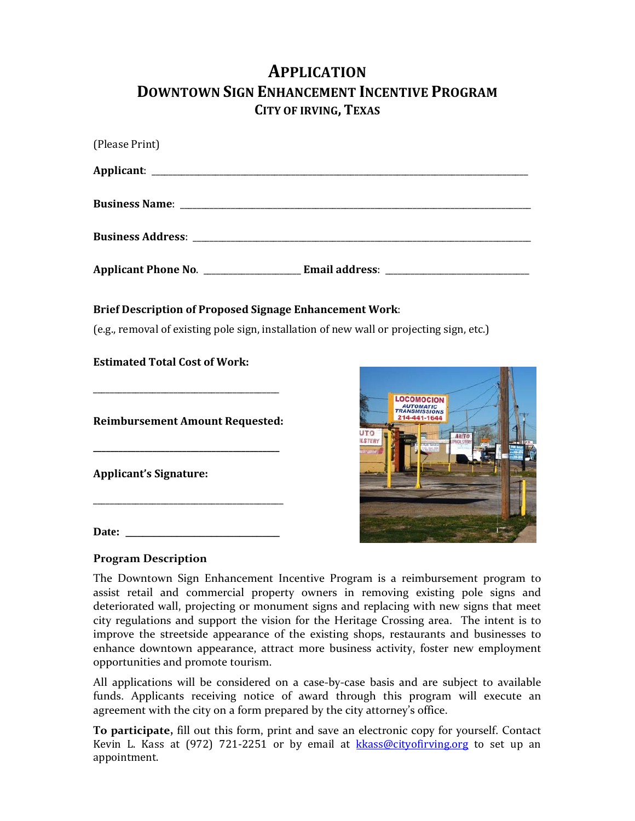# **APPLICATION DOWNTOWN SIGN ENHANCEMENT INCENTIVE PROGRAM CITY OF IRVING, TEXAS**

| (Please Print)                                                                                                                                             |                                            |
|------------------------------------------------------------------------------------------------------------------------------------------------------------|--------------------------------------------|
|                                                                                                                                                            |                                            |
|                                                                                                                                                            |                                            |
|                                                                                                                                                            |                                            |
|                                                                                                                                                            |                                            |
| <b>Brief Description of Proposed Signage Enhancement Work:</b><br>(e.g., removal of existing pole sign, installation of new wall or projecting sign, etc.) |                                            |
| <b>Estimated Total Cost of Work:</b>                                                                                                                       |                                            |
| <b>Reimbursement Amount Requested:</b>                                                                                                                     | 4-441-1644<br><b>AHTO</b><br><b>LSTERY</b> |
| <b>Applicant's Signature:</b>                                                                                                                              |                                            |
| Date:                                                                                                                                                      |                                            |

## **Program Description**

The Downtown Sign Enhancement Incentive Program is a reimbursement program to assist retail and commercial property owners in removing existing pole signs and deteriorated wall, projecting or monument signs and replacing with new signs that meet city regulations and support the vision for the Heritage Crossing area. The intent is to improve the streetside appearance of the existing shops, restaurants and businesses to enhance downtown appearance, attract more business activity, foster new employment opportunities and promote tourism.

All applications will be considered on a case‐by‐case basis and are subject to available funds. Applicants receiving notice of award through this program will execute an agreement with the city on a form prepared by the city attorney's office.

**To participate,** fill out this form, print and save an electronic copy for yourself. Contact Kevin L. Kass at (972) 721-2251 or by email at kkass@cityofirving.org to set up an appointment.